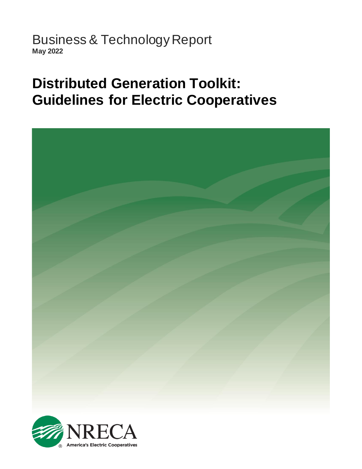Business & Technology Report **May 2022**

# **Distributed Generation Toolkit: Guidelines for Electric Cooperatives**



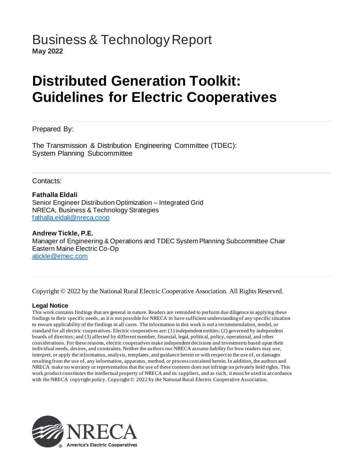### Business & Technology Report **May 2022**

# **Distributed Generation Toolkit: Guidelines for Electric Cooperatives**

#### Prepared By:

The Transmission & Distribution Engineering Committee (TDEC): System Planning Subcommittee

#### Contacts:

#### **Fathalla Eldali**

Senior Engineer Distribution Optimization – Integrated Grid NRECA, Business & Technology Strategies [fathalla.eldali@nreca.coop](mailto:fathalla.eldali@nreca.coop)

**Andrew Tickle, P.E.** Manager of Engineering & Operations and TDEC System Planning Subcommittee Chair Eastern Maine Electric Co-Op [atickle@emec.com](mailto:atickle@emec.com)

Copyright © 2022 by the National Rural Electric Cooperative Association. All Rights Reserved.

#### **Legal Notice**

This work contains findings that are general in nature. Readers are reminded to perform due diligence in applying these findings to their specific needs, as it is not possible for NRECA to have sufficient understanding of any specific situation to ensure applicability of the findings in all cases. The information in this work is not a recommendation, model, or standard for all electric cooperatives. Electric cooperatives are: (1) independent entities; (2) governed by independent boards of directors; and (3) affected by different member, financial, legal, political, policy, operational, and other considerations. For these reasons, electric cooperatives make independent decisions and investments based upon their individual needs, desires, and constraints. Neither the authors nor NRECA assume liability for how readers may use, interpret, or apply the information, analysis, templates, and guidance herein or with respect to the use of, or damages resulting from the use of, any information, apparatus, method, or process contained herein. In addition, the authors and NRECA make no warranty or representation that the use of these contents does not infringe on privately held rights. This work product constitutes the intellectual property of NRECA and its suppliers, and as such, it must be used in accordance with the NRECA copyright policy. Copyright © 2022 by the National Rural Electric Cooperative Association.

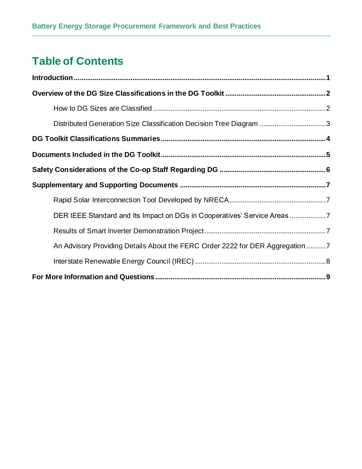## **Table of Contents**

| Distributed Generation Size Classification Decision Tree Diagram 3            |  |
|-------------------------------------------------------------------------------|--|
|                                                                               |  |
|                                                                               |  |
|                                                                               |  |
|                                                                               |  |
|                                                                               |  |
| DER IEEE Standard and Its Impact on DGs in Cooperatives' Service Areas7       |  |
|                                                                               |  |
| An Advisory Providing Details About the FERC Order 2222 for DER Aggregation 7 |  |
|                                                                               |  |
|                                                                               |  |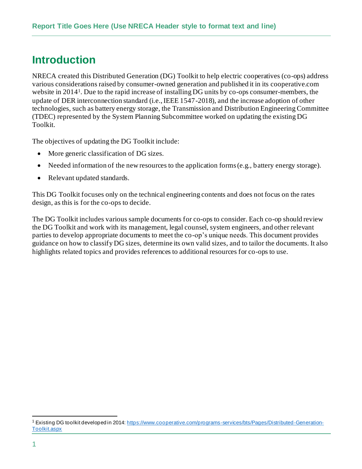## <span id="page-3-0"></span>**Introduction**

NRECA created this Distributed Generation (DG) Toolkit to help electric cooperatives (co-ops) address various considerations raised by consumer-owned generation and published it in its cooperative.com website in 2014<sup>1</sup>. Due to the rapid increase of installing DG units by co-ops consumer-members, the update of DER interconnection standard (i.e., IEEE 1547-2018), and the increase adoption of other technologies, such as battery energy storage, the Transmission and Distribution Engineering Committee (TDEC) represented by the System Planning Subcommittee worked on updating the existing DG Toolkit.

The objectives of updating the DG Toolkit include:

- More generic classification of DG sizes.
- Needed information of the new resources to the application forms (e.g., battery energy storage).
- Relevant updated standards.

This DG Toolkit focuses only on the technical engineering contents and does not focus on the rates design, as this is for the co-ops to decide.

The DG Toolkit includes various sample documents for co-ops to consider. Each co-op should review the DG Toolkit and work with its management, legal counsel, system engineers, and other relevant parties to develop appropriate documents to meet the co-op's unique needs. This document provides guidance on how to classify DG sizes, determine its own valid sizes, and to tailor the documents. It also highlights related topics and provides references to additional resources for co-ops to use.

Existing DG toolkit developed in 2014[: https://www.cooperative.com/programs-services/bts/Pages/Distributed-Generation-](https://www.cooperative.com/programs-services/bts/Pages/Distributed-Generation-Toolkit.aspx)[Toolkit.aspx](https://www.cooperative.com/programs-services/bts/Pages/Distributed-Generation-Toolkit.aspx)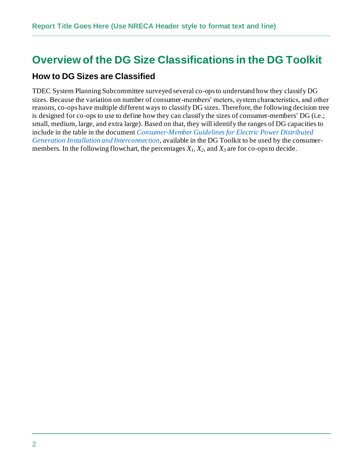### <span id="page-4-0"></span>**Overview of the DG Size Classifications in the DG Toolkit**

#### <span id="page-4-1"></span>**How to DG Sizes are Classified**

TDEC System Planning Subcommittee surveyed several co-ops to understand how they classify DG sizes. Because the variation on number of consumer-members' meters, system characteristics, and other reasons, co-ops have multiple different ways to classify DG sizes. Therefore, the following decision tree is designed for co-ops to use to define how they can classify the sizes of consumer-members' DG (i.e.; small, medium, large, and extra large). Based on that, they will identify the ranges of DG capacities to include in the table in the document *Consumer-Member Guidelines for Electric Power Distributed Generation Installation and Interconnection*, available in the DG Toolkit to be used by the consumermembers. In the following flowchart, the percentages *X1, X2*, and *X<sup>3</sup>* are for co-ops to decide.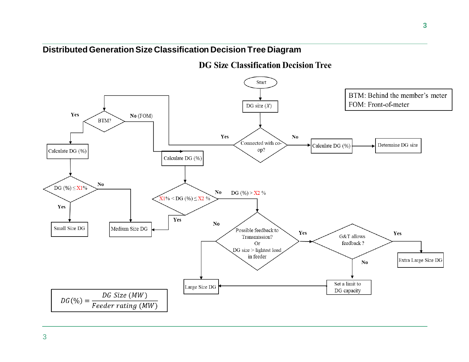### **Distributed Generation Size Classification Decision Tree Diagram**

**DG Size Classification Decision Tree** 

<span id="page-5-0"></span>

3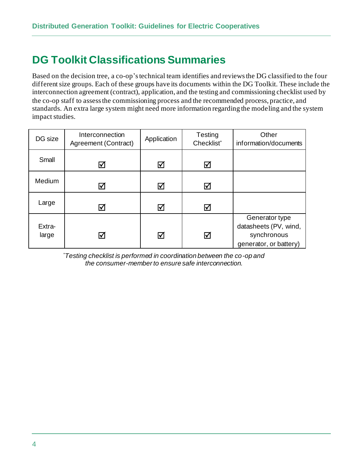## <span id="page-6-0"></span>**DG Toolkit Classifications Summaries**

Based on the decision tree, a co-op's technical team identifies and reviews the DG classified to the four different size groups. Each of these groups have its documents within the DG Toolkit. These include the interconnection agreement (contract), application, and the testing and commissioning checklist used by the co-op staff to assess the commissioning process and the recommended process, practice, and standards. An extra large system might need more information regarding the modeling and the system impact studies.

| DG size         | Interconnection<br>Agreement (Contract) | Application | Testing<br>Checklist* | Other<br>information/documents                                                   |
|-----------------|-----------------------------------------|-------------|-----------------------|----------------------------------------------------------------------------------|
| Small           | ☑                                       | ☑           | ☑                     |                                                                                  |
| Medium          | ☑                                       | ☑           | ☑                     |                                                                                  |
| Large           | ☑                                       | ☑           | ☑                     |                                                                                  |
| Extra-<br>large | ☑                                       | ☑           | ☑                     | Generator type<br>datasheets (PV, wind,<br>synchronous<br>generator, or battery) |

\**Testing checklist is performed in coordination between the co-op and the consumer-member to ensure safe interconnection.*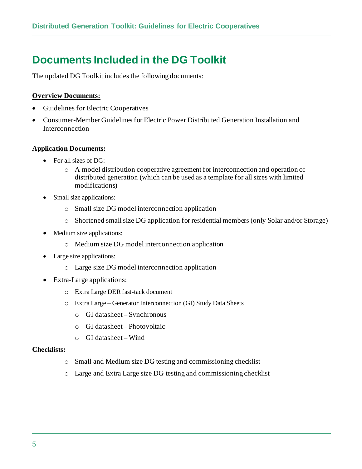## <span id="page-7-0"></span>**Documents Included in the DG Toolkit**

The updated DG Toolkit includes the following documents:

#### **Overview Documents:**

- Guidelines for Electric Cooperatives
- Consumer-Member Guidelines for Electric Power Distributed Generation Installation and Interconnection

#### **Application Documents:**

- For all sizes of DG:
	- o A model distribution cooperative agreement for interconnection and operation of distributed generation (which can be used as a template for all sizes with limited modifications)
- Small size applications:
	- o Small size DG model interconnection application
	- o Shortened small size DG application for residential members (only Solar and/or Storage)
- Medium size applications:
	- o Medium size DG model interconnection application
- Large size applications:
	- o Large size DG model interconnection application
- Extra-Large applications:
	- o Extra Large DER fast-tack document
	- o Extra Large Generator Interconnection (GI) Study Data Sheets
		- o GI datasheet Synchronous
		- o GI datasheet Photovoltaic
		- o GI datasheet Wind

#### **Checklists:**

- o Small and Medium size DG testing and commissioning checklist
- o Large and Extra Large size DG testing and commissioning checklist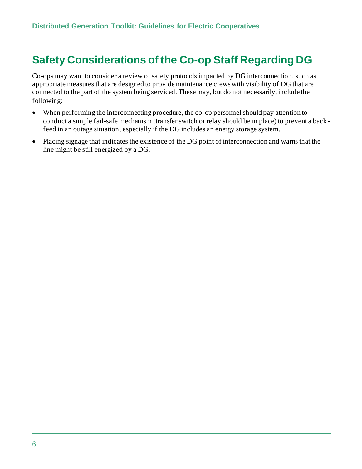## <span id="page-8-0"></span>**Safety Considerations of the Co-op Staff Regarding DG**

Co-ops may want to consider a review of safety protocols impacted by DG interconnection, such as appropriate measures that are designed to provide maintenance crews with visibility of DG that are connected to the part of the system being serviced. These may, but do not necessarily, include the following:

- When performing the interconnecting procedure, the co-op personnel should pay attention to conduct a simple fail-safe mechanism (transfer switch or relay should be in place) to prevent a backfeed in an outage situation, especially if the DG includes an energy storage system.
- Placing signage that indicates the existence of the DG point of interconnection and warns that the line might be still energized by a DG.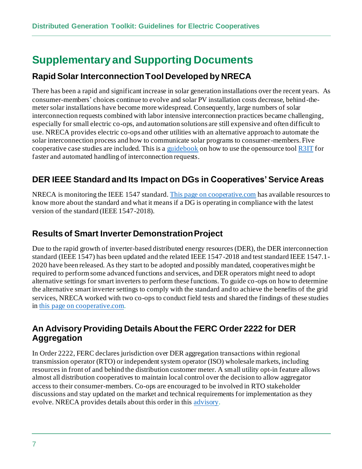## <span id="page-9-0"></span>**Supplementary and Supporting Documents**

### <span id="page-9-1"></span>**Rapid Solar Interconnection Tool Developed by NRECA**

There has been a rapid and significant increase in solar generation installations over the recent years. As consumer-members' choices continue to evolve and solar PV installation costs decrease, behind-themeter solar installations have become more widespread. Consequently, large numbers of solar interconnection requests combined with labor intensive interconnection practices became challenging, especially for small electric co-ops, and automation solutions are still expensive and often difficult to use. NRECA provides electric co-ops and other utilities with an alternative approach to automate the solar interconnection process and how to communicate solar programs to consumer-members. Five cooperative case studies are included. This is [a guidebook](https://www.cooperative.com/topics/distributed-energy-resources/Pages/Guidebook-for-Rapid-Solar-Interconnection.aspx) on how to use the opensource too[l R3IT](https://github.com/dpinney/r3it) for faster and automated handling of interconnection requests.

### <span id="page-9-2"></span>**DER IEEE Standard and Its Impact on DGs in Cooperatives' Service Areas**

NRECA is monitoring the IEEE 1547 standard. This page [on cooperative.com](https://www.cooperative.com/topics/transmission-distribution/Pages/IEEE-1547-Standard-for-DER-Interconnections.aspx) has available resources to know more about the standard and what it means if a DG is operating in compliance with the latest version of the standard (IEEE 1547-2018).

### <span id="page-9-3"></span>**Results of Smart Inverter Demonstration Project**

Due to the rapid growth of inverter-based distributed energy resources (DER), the DER interconnection standard (IEEE 1547) has been updated and the related IEEE 1547-2018 and test standard IEEE 1547.1- 2020 have been released. As they start to be adopted and possibly mandated, cooperatives might be required to perform some advanced functions and services, and DER operators might need to adopt alternative settings for smart inverters to perform these functions. To guide co-ops on how to determine the alternative smart inverter settings to comply with the standard and to achieve the benefits of the grid services, NRECA worked with two co-ops to conduct field tests and shared the findings of these studies in this page [on cooperative.com](https://www.cooperative.com/topics/transmission-distribution/Pages/Smart-Inverters-as-a-Grid-Asset.aspx).

#### <span id="page-9-4"></span>**An Advisory Providing Details About the FERC Order 2222 for DER Aggregation**

In Order 2222, FERC declares jurisdiction over DER aggregation transactions within regional transmission operator (RTO) or independent system operator (ISO) wholesale markets, including resources in front of and behind the distribution customer meter. A small utility opt-in feature allows almost all distribution cooperatives to maintain local control over the decision to allow aggregator access to their consumer-members. Co-ops are encouraged to be involved in RTO stakeholder discussions and stay updated on the market and technical requirements for implementation as they evolve. NRECA provides details about this order in thi[s advisory](https://www.cooperative.com/topics/power-supply-wholesale-markets/Pages/FERC-Order-2222-for-DER-Aggregation.aspx).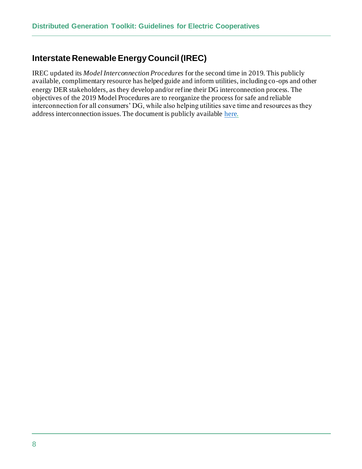### <span id="page-10-0"></span>**Interstate Renewable Energy Council (IREC)**

IREC updated its *Model Interconnection Procedures* for the second time in 2019. This publicly available, complimentary resource has helped guide and inform utilities, including co-ops and other energy DER stakeholders, as they develop and/or refine their DG interconnection process. The objectives of the 2019 Model Procedures are to reorganize the process for safe and reliable interconnection for all consumers' DG, while also helping utilities save time and resources as they address interconnection issues. The document is publicly availabl[e here](https://irecusa.org/resources/irec-model-interconnection-procedures-2019/).